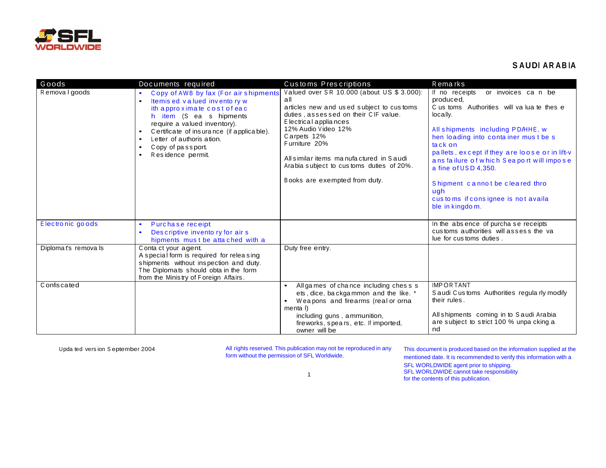

## **SAUDI ARABIA**

| Goods               | Documents required                                                                                                                                                                                                                                                                                                                       | Customs Prescriptions                                                                                                                                                                                                                                                                                                                          | Remarks                                                                                                                                                                                                                                                                                                                                                                                                                      |
|---------------------|------------------------------------------------------------------------------------------------------------------------------------------------------------------------------------------------------------------------------------------------------------------------------------------------------------------------------------------|------------------------------------------------------------------------------------------------------------------------------------------------------------------------------------------------------------------------------------------------------------------------------------------------------------------------------------------------|------------------------------------------------------------------------------------------------------------------------------------------------------------------------------------------------------------------------------------------------------------------------------------------------------------------------------------------------------------------------------------------------------------------------------|
| Removal goods       | Copy of AWB by fax (For air shipments<br>$\bullet$<br>Itemis ed valued invento ry w<br>$\bullet$<br>ith approximate cost of eac<br>h item (S ea s hipments<br>require a valued inventory).<br>Certificate of insurance (if applicable).<br>$\bullet$<br>Letter of authoris ation.<br>$\bullet$<br>Copy of passport.<br>Residence permit. | Valued over SR 10.000 (about US \$ 3.000):<br>all<br>articles new and used subject to customs<br>duties, assessed on their CIF value.<br>E lectrical appliances<br>12% Audio Video 12%<br>Carpets 12%<br>Furniture 20%<br>All similar items manufactured in Saudi<br>Arabia subject to customs duties of 20%.<br>Books are exempted from duty. | If no receipts<br>or invoices can be<br>produced,<br>C us toms Authorities will valuate these<br>locally.<br>All shipments including PD/HHE, w<br>hen loading into container must be s<br>tack on<br>pallets, except if they are loose or in lift-v<br>ans failure of which Seaport will impose<br>a fine of USD 4.350.<br>Shipment cannot be cleared thro<br>ugh<br>cus to ms if consignee is not availa<br>ble in kingdom. |
| Electronic goods    | Purchase receipt<br>$\bullet$<br>Descriptive invento ry for air s<br>$\bullet$<br>hipments must be attached with a                                                                                                                                                                                                                       |                                                                                                                                                                                                                                                                                                                                                | In the absence of purcha se receipts<br>customs authorities will assess the value<br>lue for cus toms duties.                                                                                                                                                                                                                                                                                                                |
| Diplomat's removals | Conta ct your agent.<br>A special form is required for releasing<br>shipments without inspection and duty.<br>The Diplomats should obta in the form<br>from the Ministry of Foreign Affairs.                                                                                                                                             | Duty free entry.                                                                                                                                                                                                                                                                                                                               |                                                                                                                                                                                                                                                                                                                                                                                                                              |
| C onfiscated        |                                                                                                                                                                                                                                                                                                                                          | All games of chance including chess s<br>ets, dice, backgammon and the like. *<br>Weapons and firearms (real or orna<br>menta I)<br>including guns, ammunition,<br>fireworks, spears, etc. If imported,<br>owner will be                                                                                                                       | <b>IMPORTANT</b><br>S audi Customs Authorities regula rly modify<br>their rules.<br>All shipments coming in to Saudi Arabia<br>are subject to strict 100 % unpa cking a<br>nd                                                                                                                                                                                                                                                |

Upda ted version September 2004

All rights reserved. This publication may not be reproduced in any form without the permission of SFL Worldwide.

This document is produced based on the information supplied at the mentioned date. It is recommended to verify this information with a SFL WORLDWIDE agent prior to shipping.<br>SFL WORLDWIDE cannot take responsibility for the contents of this publication.

 $\mathbf{1}$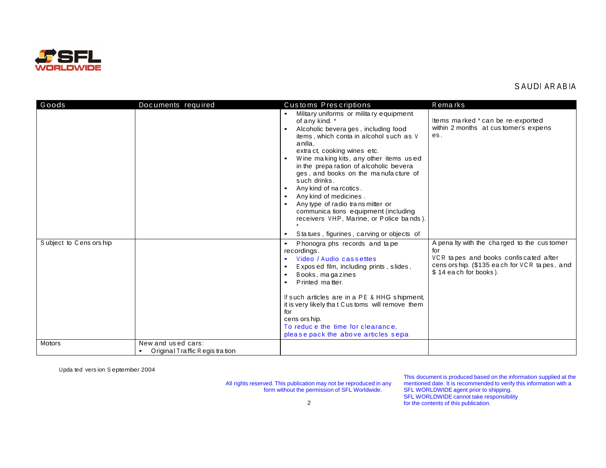

## SAUDI ARABIA

| Goods                  | Documents required                                   | Customs Prescriptions                                                                                                                                                                                                                                                                                                                                                                                                                                                                                                                                                                   | Remarks                                                                                                                                                             |
|------------------------|------------------------------------------------------|-----------------------------------------------------------------------------------------------------------------------------------------------------------------------------------------------------------------------------------------------------------------------------------------------------------------------------------------------------------------------------------------------------------------------------------------------------------------------------------------------------------------------------------------------------------------------------------------|---------------------------------------------------------------------------------------------------------------------------------------------------------------------|
|                        |                                                      | Military uniforms or military equipment<br>of any kind. *<br>Alcoholic bevera ges, including food<br>items, which conta in alcohol such as V<br>anilla.<br>extract, cooking wines etc.<br>Wine making kits, any other items used<br>in the preparation of alcoholic bevera<br>ges, and books on the manufacture of<br>such drinks.<br>Any kind of na rcotics.<br>$\bullet$<br>Any kind of medicines.<br>Any type of radio trans mitter or<br>communica tions equipment (including<br>receivers VHP, Marine, or Police bands).<br>Statues, figurines, carving or objects of<br>$\bullet$ | Items marked * can be re-exported<br>within 2 months at customer's expens<br>es.                                                                                    |
| Subject to Cens orship |                                                      | Phonogra phs records and tape<br>recordings.<br>Video / Audio cassettes<br>Exposed film, including prints, slides,<br>Books, magazines<br>Printed matter.<br>If such articles are in a PE & HHG shipment,<br>it is very likely that Customs will remove them<br>for<br>cens ors hip.<br>To reduce the time for clearance,<br>please pack the above articles sepa                                                                                                                                                                                                                        | A penalty with the charged to the customer<br>for<br>VCR tapes and books confiscated after<br>cens ors hip. (\$135 each for VCR tapes, and<br>\$14 each for books). |
| Motors                 | New and used cars:<br>Original Traffic Regis tration |                                                                                                                                                                                                                                                                                                                                                                                                                                                                                                                                                                                         |                                                                                                                                                                     |

Upda ted version September 2004

All rights reserved. This publication may not be reproduced in any form without the permission of SFL Worldwide.

This document is produced based on the information supplied at the mentioned date. It is recommended to verify this information with a SFL WORLDWIDE agent prior to shipping. SFL WORLDWIDE cannot take responsibility for the contents of this publication.